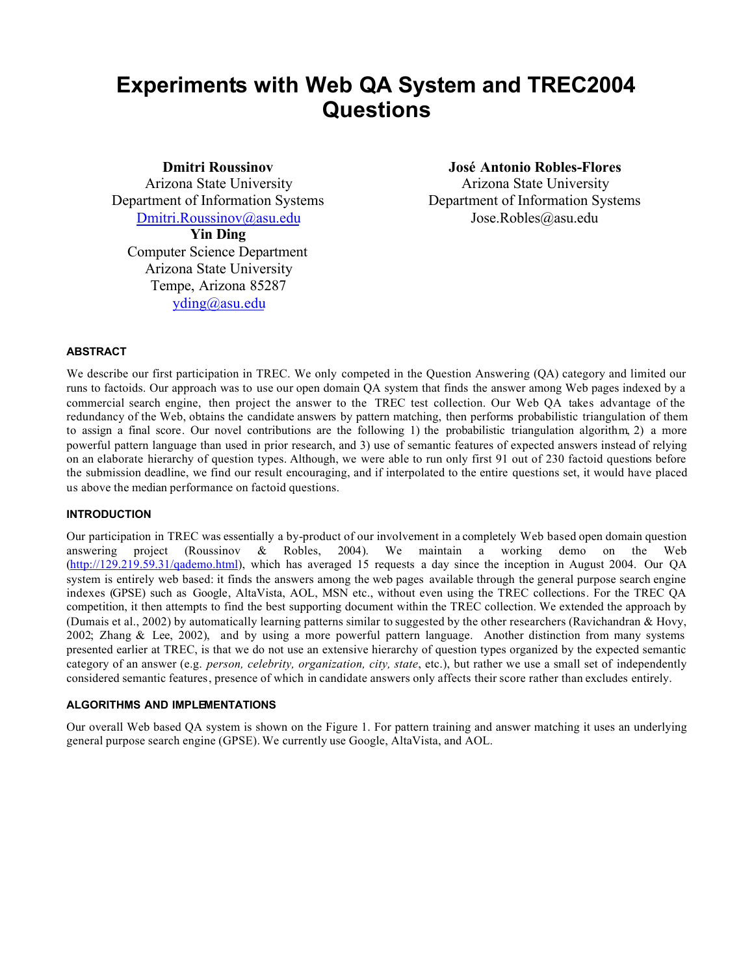# **Experiments with Web QA System and TREC2004 Questions**

**Dmitri Roussinov**

Arizona State University Department of Information Systems Dmitri.Roussinov@asu.edu **Yin Ding**

Computer Science Department Arizona State University Tempe, Arizona 85287 yding@asu.edu

**José Antonio Robles-Flores**

Arizona State University Department of Information Systems Jose.Robles@asu.edu

# **ABSTRACT**

We describe our first participation in TREC. We only competed in the Question Answering (QA) category and limited our runs to factoids. Our approach was to use our open domain QA system that finds the answer among Web pages indexed by a commercial search engine, then project the answer to the TREC test collection. Our Web QA takes advantage of the redundancy of the Web, obtains the candidate answers by pattern matching, then performs probabilistic triangulation of them to assign a final score. Our novel contributions are the following 1) the probabilistic triangulation algorithm, 2) a more powerful pattern language than used in prior research, and 3) use of semantic features of expected answers instead of relying on an elaborate hierarchy of question types. Although, we were able to run only first 91 out of 230 factoid questions before the submission deadline, we find our result encouraging, and if interpolated to the entire questions set, it would have placed us above the median performance on factoid questions.

# **INTRODUCTION**

Our participation in TREC was essentially a by-product of our involvement in a completely Web based open domain question answering project (Roussinov & Robles, 2004). We maintain a working demo on the Web (http://129.219.59.31/qademo.html), which has averaged 15 requests a day since the inception in August 2004. Our QA system is entirely web based: it finds the answers among the web pages available through the general purpose search engine indexes (GPSE) such as Google, AltaVista, AOL, MSN etc., without even using the TREC collections. For the TREC QA competition, it then attempts to find the best supporting document within the TREC collection. We extended the approach by (Dumais et al., 2002) by automatically learning patterns similar to suggested by the other researchers (Ravichandran & Hovy, 2002; Zhang & Lee, 2002), and by using a more powerful pattern language. Another distinction from many systems presented earlier at TREC, is that we do not use an extensive hierarchy of question types organized by the expected semantic category of an answer (e.g. *person, celebrity, organization, city, state*, etc.), but rather we use a small set of independently considered semantic features, presence of which in candidate answers only affects their score rather than excludes entirely.

# **ALGORITHMS AND IMPLEMENTATIONS**

Our overall Web based QA system is shown on the Figure 1. For pattern training and answer matching it uses an underlying general purpose search engine (GPSE). We currently use Google, AltaVista, and AOL.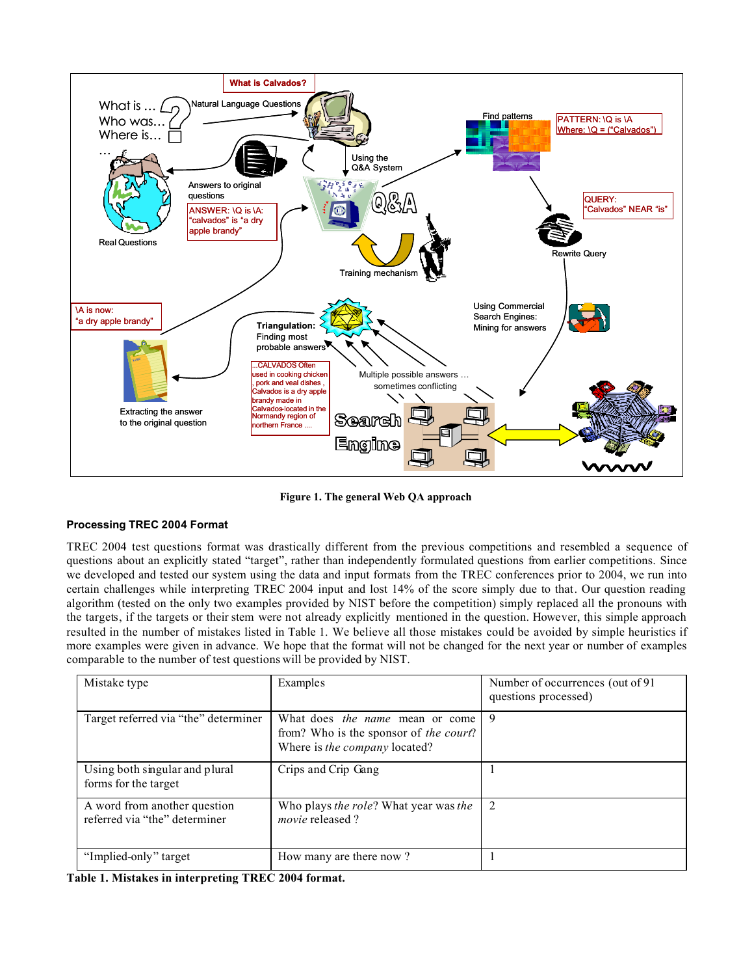

**Figure 1. The general Web QA approach**

# **Processing TREC 2004 Format**

TREC 2004 test questions format was drastically different from the previous competitions and resembled a sequence of questions about an explicitly stated "target", rather than independently formulated questions from earlier competitions. Since we developed and tested our system using the data and input formats from the TREC conferences prior to 2004, we run into certain challenges while interpreting TREC 2004 input and lost 14% of the score simply due to that. Our question reading algorithm (tested on the only two examples provided by NIST before the competition) simply replaced all the pronouns with the targets, if the targets or their stem were not already explicitly mentioned in the question. However, this simple approach resulted in the number of mistakes listed in Table 1. We believe all those mistakes could be avoided by simple heuristics if more examples were given in advance. We hope that the format will not be changed for the next year or number of examples comparable to the number of test questions will be provided by NIST.

| Mistake type                                                  | Examples                                                                                                          | Number of occurrences (out of 91)<br>questions processed) |
|---------------------------------------------------------------|-------------------------------------------------------------------------------------------------------------------|-----------------------------------------------------------|
| Target referred via "the" determiner                          | What does <i>the name</i> mean or come<br>from? Who is the sponsor of the court?<br>Where is the company located? | 9                                                         |
| Using both singular and plural<br>forms for the target        | Crips and Crip Gang                                                                                               |                                                           |
| A word from another question<br>referred via "the" determiner | Who plays the role? What year was the<br><i>movie</i> released?                                                   | 2                                                         |
| "Implied-only" target                                         | How many are there now?                                                                                           |                                                           |

**Table 1. Mistakes in interpreting TREC 2004 format.**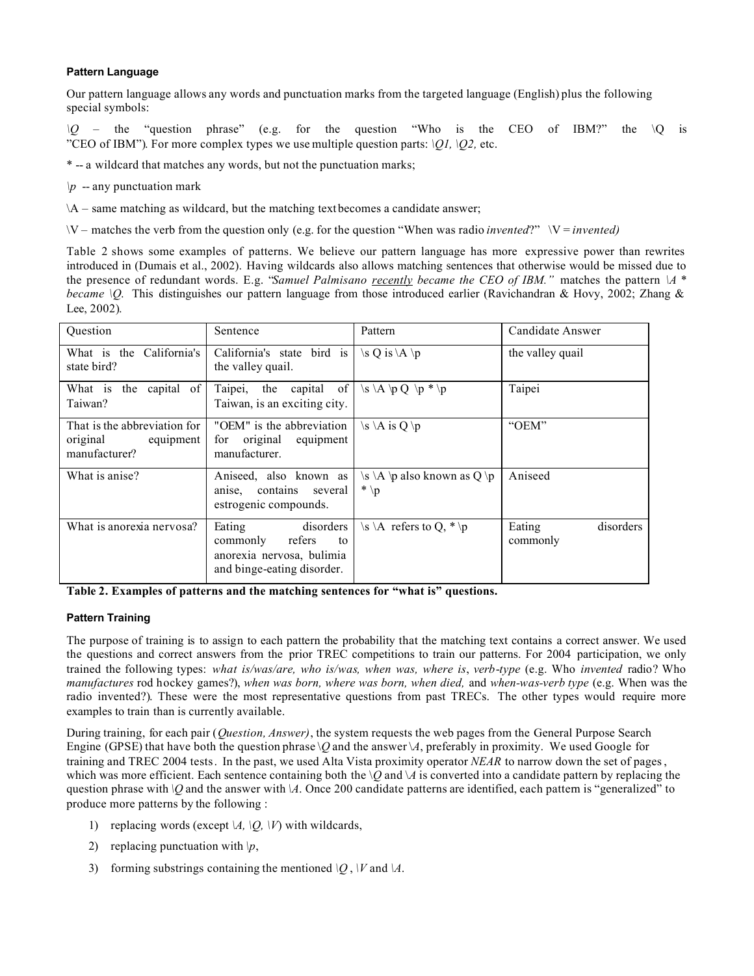# **Pattern Language**

Our pattern language allows any words and punctuation marks from the targeted language (English) plus the following special symbols:

*\Q* – the "question phrase" (e.g. for the question "Who is the CEO of IBM?" the \Q is "CEO of IBM"). For more complex types we use multiple question parts: *\Q1, \Q2,* etc.

\* -- a wildcard that matches any words, but not the punctuation marks;

 $\mathbf{p}$  -- any punctuation mark

 $\A -$  same matching as wildcard, but the matching text becomes a candidate answer;

\V – matches the verb from the question only (e.g. for the question "When was radio *invented*?" \V = *invented)*

Table 2 shows some examples of patterns. We believe our pattern language has more expressive power than rewrites introduced in (Dumais et al., 2002). Having wildcards also allows matching sentences that otherwise would be missed due to the presence of redundant words. E.g. "*Samuel Palmisano recently became the CEO of IBM."* matches the pattern *\A \* became \Q*. This distinguishes our pattern language from those introduced earlier (Ravichandran & Hovy, 2002; Zhang & Lee, 2002).

| Question                                                               | Sentence                                                                                                   | Pattern                                                   | Candidate Answer                |  |
|------------------------------------------------------------------------|------------------------------------------------------------------------------------------------------------|-----------------------------------------------------------|---------------------------------|--|
| What is the California's<br>state bird?                                | California's state bird is<br>the valley quail.                                                            | \s Q is \A \p                                             | the valley quail                |  |
| What is the capital<br>of<br>Taiwan?                                   | Taipei, the capital of<br>Taiwan, is an exciting city.                                                     | $\Bbbk A \not\triangleright Q \not\triangleright^* \iota$ | Taipei                          |  |
| That is the abbreviation for<br>original<br>equipment<br>manufacturer? | "OEM" is the abbreviation<br>original<br>equipment<br>for<br>manufacturer.                                 | $\s \ A$ is Q \p                                          | "OEM"                           |  |
| What is anise?                                                         | Aniseed, also known as<br>anise, contains several<br>estrogenic compounds.                                 | $\s \ A \ \phi$ also known as Q \p<br>$* \n\downarrow p$  | Aniseed                         |  |
| What is anorexia nervosa?                                              | disorders<br>Eating<br>refers<br>commonly<br>to<br>anorexia nervosa, bulimia<br>and binge-eating disorder. | \s \A refers to Q, $*$ \p                                 | disorders<br>Eating<br>commonly |  |

**Table 2. Examples of patterns and the matching sentences for "what is" questions.**

# **Pattern Training**

The purpose of training is to assign to each pattern the probability that the matching text contains a correct answer. We used the questions and correct answers from the prior TREC competitions to train our patterns. For 2004 participation, we only trained the following types: *what is/was/are, who is/was, when was, where is*, *verb*-*type* (e.g. Who *invented* radio? Who *manufactures* rod hockey games?), *when was born, where was born, when died,* and *when-was-verb type* (e.g. When was the radio invented?). These were the most representative questions from past TRECs. The other types would require more examples to train than is currently available.

During training, for each pair (*Question, Answer)*, the system requests the web pages from the General Purpose Search Engine (GPSE) that have both the question phrase  $\Diamond Q$  and the answer  $\Diamond A$ , preferably in proximity. We used Google for training and TREC 2004 tests. In the past, we used Alta Vista proximity operator *NEAR* to narrow down the set of pages, which was more efficient. Each sentence containing both the  $\Diamond$  and  $\Diamond$  is converted into a candidate pattern by replacing the question phrase with *\Q* and the answer with *\A*. Once 200 candidate patterns are identified, each pattern is "generalized" to produce more patterns by the following :

- 1) replacing words (except  $\mathcal{A}, \mathcal{Q}, \mathcal{V}$ ) with wildcards,
- 2) replacing punctuation with  $\vert p$ ,
- 3) forming substrings containing the mentioned  $\overline{Q}$ ,  $\overline{V}$  and  $\overline{A}$ .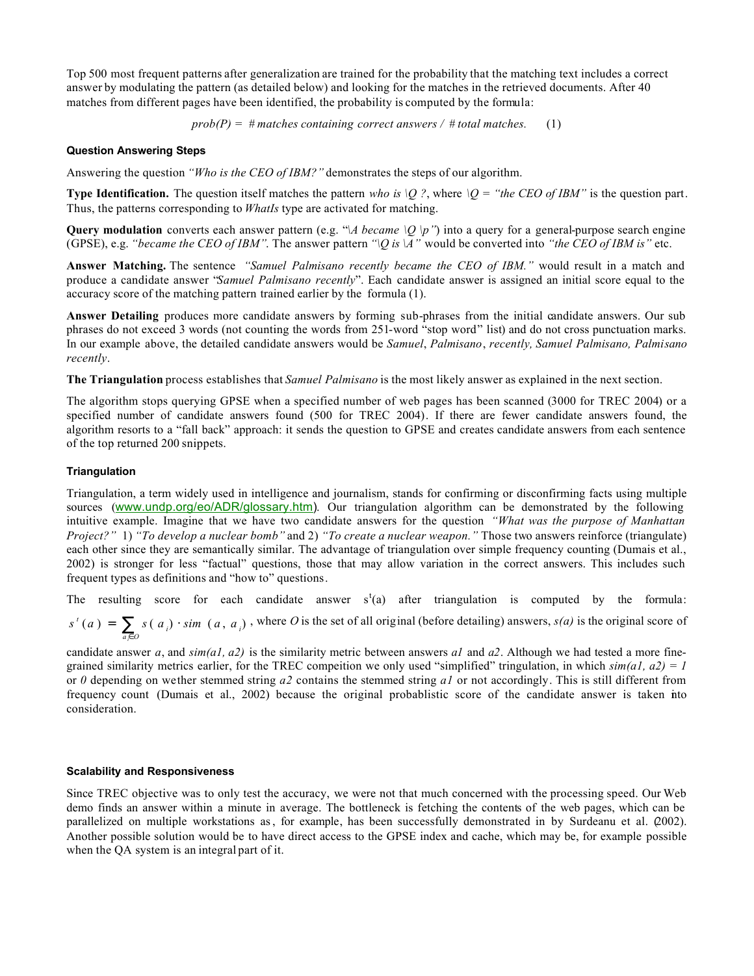Top 500 most frequent patterns after generalization are trained for the probability that the matching text includes a correct answer by modulating the pattern (as detailed below) and looking for the matches in the retrieved documents. After 40 matches from different pages have been identified, the probability is computed by the formula:

 $prob(P) = # matches containing correct answers / # total matches.$  (1)

#### **Question Answering Steps**

Answering the question *"Who is the CEO of IBM?"* demonstrates the steps of our algorithm.

**Type Identification.** The question itself matches the pattern *who is*  $\setminus Q$ ?, where  $\setminus Q =$  "the CEO of IBM" is the question part. Thus, the patterns corresponding to *WhatIs* type are activated for matching.

**Query modulation** converts each answer pattern (e.g. " $\lambda$  became  $\langle Q \rangle p$ ") into a query for a general-purpose search engine (GPSE), e.g. *"became the CEO of IBM"*. The answer pattern  $\eta$  is  $\Lambda$ " would be converted into *"the CEO of IBM is"* etc.

**Answer Matching.** The sentence *"Samuel Palmisano recently became the CEO of IBM."* would result in a match and produce a candidate answer "*Samuel Palmisano recently*". Each candidate answer is assigned an initial score equal to the accuracy score of the matching pattern trained earlier by the formula (1).

**Answer Detailing** produces more candidate answers by forming sub-phrases from the initial candidate answers. Our sub phrases do not exceed 3 words (not counting the words from 251-word "stop word" list) and do not cross punctuation marks. In our example above, the detailed candidate answers would be *Samuel*, *Palmisano*, *recently, Samuel Palmisano, Palmisano recently*.

**The Triangulation** process establishes that *Samuel Palmisano* is the most likely answer as explained in the next section.

The algorithm stops querying GPSE when a specified number of web pages has been scanned (3000 for TREC 2004) or a specified number of candidate answers found (500 for TREC 2004). If there are fewer candidate answers found, the algorithm resorts to a "fall back" approach: it sends the question to GPSE and creates candidate answers from each sentence of the top returned 200 snippets.

#### **Triangulation**

Triangulation, a term widely used in intelligence and journalism, stands for confirming or disconfirming facts using multiple sources (www.undp.org/eo/ADR/glossary.htm). Our triangulation algorithm can be demonstrated by the following intuitive example. Imagine that we have two candidate answers for the question *"What was the purpose of Manhattan Project?"* 1) *"To develop a nuclear bomb"* and 2) *"To create a nuclear weapon."* Those two answers reinforce (triangulate) each other since they are semantically similar. The advantage of triangulation over simple frequency counting (Dumais et al., 2002) is stronger for less "factual" questions, those that may allow variation in the correct answers. This includes such frequent types as definitions and "how to" questions.

The resulting score for each candidate answer  $s^t(a)$  after triangulation is computed by the formula:

$$
s'(a) = \sum_{a \in O} s(a_i) \cdot \sin(a, a_i)
$$
, where O is the set of all original (before detailing) answers,  $s(a)$  is the original score of

candidate answer *a*, and *sim(a1, a2)* is the similarity metric between answers *a1* and *a2*. Although we had tested a more finegrained similarity metrics earlier, for the TREC competition we only used "simplified" tringulation, in which  $\sin(a1, a2) = 1$ or *0* depending on wether stemmed string *a2* contains the stemmed string *a1* or not accordingly. This is still different from frequency count (Dumais et al., 2002) because the original probablistic score of the candidate answer is taken into consideration.

# **Scalability and Responsiveness**

Since TREC objective was to only test the accuracy, we were not that much concerned with the processing speed. Our Web demo finds an answer within a minute in average. The bottleneck is fetching the contents of the web pages, which can be parallelized on multiple workstations as, for example, has been successfully demonstrated in by Surdeanu et al. (2002). Another possible solution would be to have direct access to the GPSE index and cache, which may be, for example possible when the QA system is an integral part of it.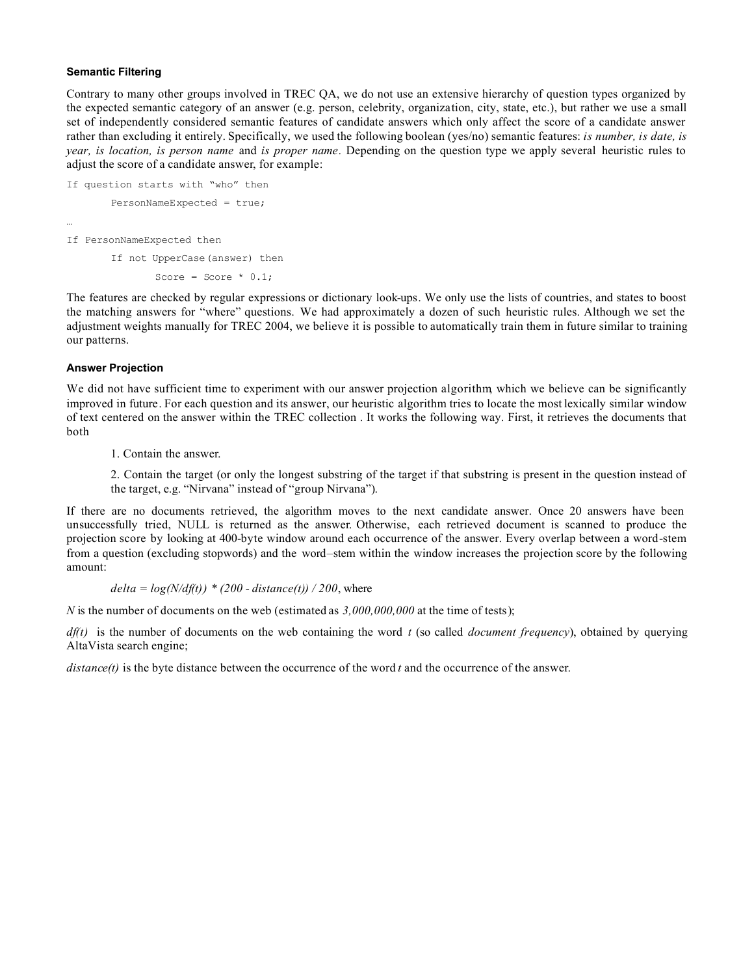# **Semantic Filtering**

Contrary to many other groups involved in TREC QA, we do not use an extensive hierarchy of question types organized by the expected semantic category of an answer (e.g. person, celebrity, organization, city, state, etc.), but rather we use a small set of independently considered semantic features of candidate answers which only affect the score of a candidate answer rather than excluding it entirely. Specifically, we used the following boolean (yes/no) semantic features: *is number, is date, is year, is location, is person name* and *is proper name.* Depending on the question type we apply several heuristic rules to adjust the score of a candidate answer, for example:

```
If question starts with "who" then
       PersonNameExpected = true;
…
If PersonNameExpected then
       If not UpperCase(answer) then
```
Score = Score  $* 0.1;$ 

The features are checked by regular expressions or dictionary look-ups. We only use the lists of countries, and states to boost the matching answers for "where" questions. We had approximately a dozen of such heuristic rules. Although we set the adjustment weights manually for TREC 2004, we believe it is possible to automatically train them in future similar to training our patterns.

# **Answer Projection**

We did not have sufficient time to experiment with our answer projection algorithm, which we believe can be significantly improved in future. For each question and its answer, our heuristic algorithm tries to locate the most lexically similar window of text centered on the answer within the TREC collection . It works the following way. First, it retrieves the documents that both

1. Contain the answer.

2. Contain the target (or only the longest substring of the target if that substring is present in the question instead of the target, e.g. "Nirvana" instead of "group Nirvana").

If there are no documents retrieved, the algorithm moves to the next candidate answer. Once 20 answers have been unsuccessfully tried, NULL is returned as the answer. Otherwise, each retrieved document is scanned to produce the projection score by looking at 400-byte window around each occurrence of the answer. Every overlap between a word-stem from a question (excluding stopwords) and the word–stem within the window increases the projection score by the following amount:

```
delta = log(N/df(t)) * (200 - distance(t)) / 200, where
```
*N* is the number of documents on the web (estimated as 3,000,000,000 at the time of tests);

*df(t)* is the number of documents on the web containing the word *t* (so called *document frequency*), obtained by querying AltaVista search engine;

*distance(t)* is the byte distance between the occurrence of the word *t* and the occurrence of the answer.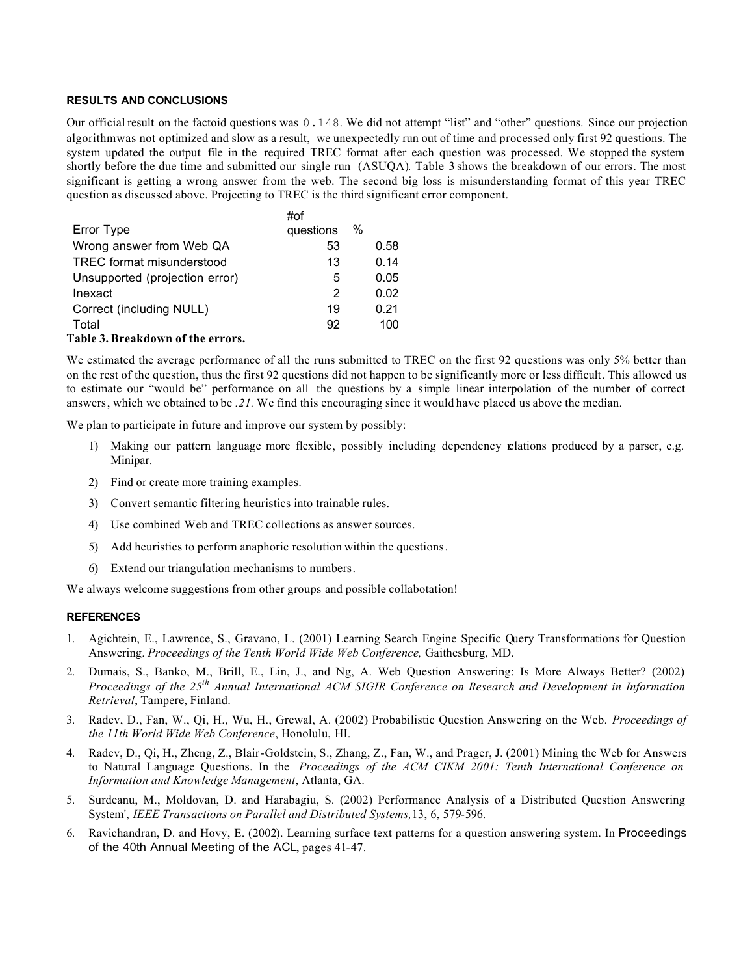#### **RESULTS AND CONCLUSIONS**

Our official result on the factoid questions was 0.148. We did not attempt "list" and "other" questions. Since our projection algorithm was not optimized and slow as a result, we unexpectedly run out of time and processed only first 92 questions. The system updated the output file in the required TREC format after each question was processed. We stopped the system shortly before the due time and submitted our single run (ASUQA). Table 3 shows the breakdown of our errors. The most significant is getting a wrong answer from the web. The second big loss is misunderstanding format of this year TREC question as discussed above. Projecting to TREC is the third significant error component.

|                                   | #of       |   |      |
|-----------------------------------|-----------|---|------|
| Error Type                        | questions | % |      |
| Wrong answer from Web QA          | 53        |   | 0.58 |
| TREC format misunderstood         | 13        |   | 0.14 |
| Unsupported (projection error)    | 5         |   | 0.05 |
| Inexact                           | 2         |   | 0.02 |
| Correct (including NULL)          | 19        |   | 0.21 |
| Total                             | 92        |   | 100  |
| Table 3. Breakdown of the errors. |           |   |      |

We estimated the average performance of all the runs submitted to TREC on the first 92 questions was only 5% better than on the rest of the question, thus the first 92 questions did not happen to be significantly more or less difficult. This allowed us to estimate our "would be" performance on all the questions by a simple linear interpolation of the number of correct answers, which we obtained to be *.21.* We find this encouraging since it would have placed us above the median.

We plan to participate in future and improve our system by possibly:

- 1) Making our pattern language more flexible, possibly including dependency relations produced by a parser, e.g. Minipar.
- 2) Find or create more training examples.
- 3) Convert semantic filtering heuristics into trainable rules.
- 4) Use combined Web and TREC collections as answer sources.
- 5) Add heuristics to perform anaphoric resolution within the questions.
- 6) Extend our triangulation mechanisms to numbers.

We always welcome suggestions from other groups and possible collabotation!

#### **REFERENCES**

- 1. Agichtein, E., Lawrence, S., Gravano, L. (2001) Learning Search Engine Specific Query Transformations for Question Answering. *Proceedings of the Tenth World Wide Web Conference,* Gaithesburg, MD.
- 2. Dumais, S., Banko, M., Brill, E., Lin, J., and Ng, A. Web Question Answering: Is More Always Better? (2002) *Proceedings of the 25th Annual International ACM SIGIR Conference on Research and Development in Information Retrieval*, Tampere, Finland.
- 3. Radev, D., Fan, W., Qi, H., Wu, H., Grewal, A. (2002) Probabilistic Question Answering on the Web. *Proceedings of the 11th World Wide Web Conference*, Honolulu, HI.
- 4. Radev, D., Qi, H., Zheng, Z., Blair-Goldstein, S., Zhang, Z., Fan, W., and Prager, J. (2001) Mining the Web for Answers to Natural Language Questions. In the *Proceedings of the ACM CIKM 2001: Tenth International Conference on Information and Knowledge Management*, Atlanta, GA.
- 5. Surdeanu, M., Moldovan, D. and Harabagiu, S. (2002) Performance Analysis of a Distributed Question Answering System', *IEEE Transactions on Parallel and Distributed Systems,*13, 6, 579-596.
- 6. Ravichandran, D. and Hovy, E. (2002). Learning surface text patterns for a question answering system. In Proceedings of the 40th Annual Meeting of the ACL, pages 41-47.